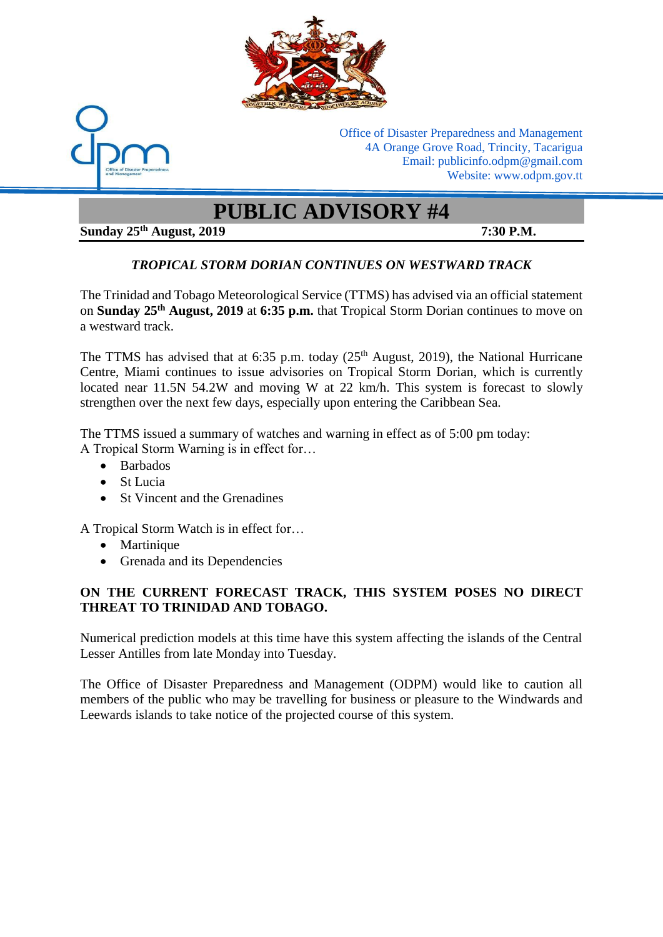



Office of Disaster Preparedness and Management 4A Orange Grove Road, Trincity, Tacarigua Email: publicinfo.odpm@gmail.com Website: www.odpm.gov.tt

# **PUBLIC ADVISORY #4**

## **Sunday 25th August, 2019 7:30 P.M.**

## *TROPICAL STORM DORIAN CONTINUES ON WESTWARD TRACK*

The Trinidad and Tobago Meteorological Service (TTMS) has advised via an official statement on **Sunday 25 th August, 2019** at **6:35 p.m.** that Tropical Storm Dorian continues to move on a westward track.

The TTMS has advised that at 6:35 p.m. today  $(25<sup>th</sup>$  August, 2019), the National Hurricane Centre, Miami continues to issue advisories on Tropical Storm Dorian, which is currently located near 11.5N 54.2W and moving W at 22 km/h. This system is forecast to slowly strengthen over the next few days, especially upon entering the Caribbean Sea.

The TTMS issued a summary of watches and warning in effect as of 5:00 pm today: A Tropical Storm Warning is in effect for…

- Barbados
- St Lucia
- St Vincent and the Grenadines

A Tropical Storm Watch is in effect for…

- Martinique
- Grenada and its Dependencies

### **ON THE CURRENT FORECAST TRACK, THIS SYSTEM POSES NO DIRECT THREAT TO TRINIDAD AND TOBAGO.**

Numerical prediction models at this time have this system affecting the islands of the Central Lesser Antilles from late Monday into Tuesday.

The Office of Disaster Preparedness and Management (ODPM) would like to caution all members of the public who may be travelling for business or pleasure to the Windwards and Leewards islands to take notice of the projected course of this system.